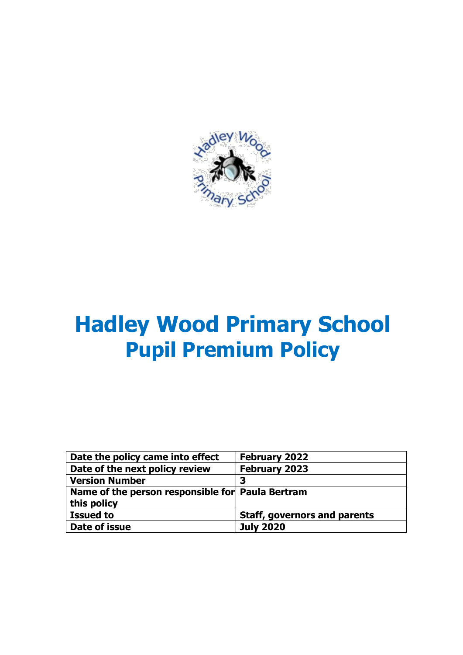

# **Hadley Wood Primary School Pupil Premium Policy**

| Date the policy came into effect                 | <b>February 2022</b>                |
|--------------------------------------------------|-------------------------------------|
| Date of the next policy review                   | <b>February 2023</b>                |
| <b>Version Number</b>                            | 3                                   |
| Name of the person responsible for Paula Bertram |                                     |
| this policy                                      |                                     |
| <b>Issued to</b>                                 | <b>Staff, governors and parents</b> |
| Date of issue                                    | <b>July 2020</b>                    |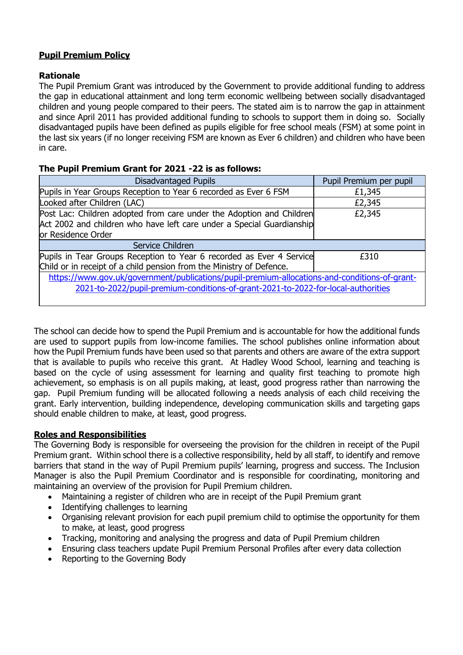## **Pupil Premium Policy**

#### **Rationale**

The Pupil Premium Grant was introduced by the Government to provide additional funding to address the gap in educational attainment and long term economic wellbeing between socially disadvantaged children and young people compared to their peers. The stated aim is to narrow the gap in attainment and since April 2011 has provided additional funding to schools to support them in doing so. Socially disadvantaged pupils have been defined as pupils eligible for free school meals (FSM) at some point in the last six years (if no longer receiving FSM are known as Ever 6 children) and children who have been in care.

#### **The Pupil Premium Grant for 2021 -22 is as follows:**

| Disadvantaged Pupils                                                                          | Pupil Premium per pupil |  |
|-----------------------------------------------------------------------------------------------|-------------------------|--|
| Pupils in Year Groups Reception to Year 6 recorded as Ever 6 FSM                              | £1,345                  |  |
| Looked after Children (LAC)                                                                   | £2,345                  |  |
| Post Lac: Children adopted from care under the Adoption and Children                          | £2,345                  |  |
| Act 2002 and children who have left care under a Special Guardianship                         |                         |  |
| or Residence Order                                                                            |                         |  |
| Service Children                                                                              |                         |  |
| Pupils in Tear Groups Reception to Year 6 recorded as Ever 4 Service                          | £310                    |  |
| Child or in receipt of a child pension from the Ministry of Defence.                          |                         |  |
| https://www.gov.uk/government/publications/pupil-premium-allocations-and-conditions-of-grant- |                         |  |
| 2021-to-2022/pupil-premium-conditions-of-grant-2021-to-2022-for-local-authorities             |                         |  |
|                                                                                               |                         |  |

The school can decide how to spend the Pupil Premium and is accountable for how the additional funds are used to support pupils from low-income families. The school publishes online information about how the Pupil Premium funds have been used so that parents and others are aware of the extra support that is available to pupils who receive this grant. At Hadley Wood School, learning and teaching is based on the cycle of using assessment for learning and quality first teaching to promote high achievement, so emphasis is on all pupils making, at least, good progress rather than narrowing the gap. Pupil Premium funding will be allocated following a needs analysis of each child receiving the grant. Early intervention, building independence, developing communication skills and targeting gaps should enable children to make, at least, good progress.

### **Roles and Responsibilities**

The Governing Body is responsible for overseeing the provision for the children in receipt of the Pupil Premium grant. Within school there is a collective responsibility, held by all staff, to identify and remove barriers that stand in the way of Pupil Premium pupils' learning, progress and success. The Inclusion Manager is also the Pupil Premium Coordinator and is responsible for coordinating, monitoring and maintaining an overview of the provision for Pupil Premium children.

- Maintaining a register of children who are in receipt of the Pupil Premium grant
- Identifying challenges to learning
- Organising relevant provision for each pupil premium child to optimise the opportunity for them to make, at least, good progress
- Tracking, monitoring and analysing the progress and data of Pupil Premium children
- Ensuring class teachers update Pupil Premium Personal Profiles after every data collection
- Reporting to the Governing Body